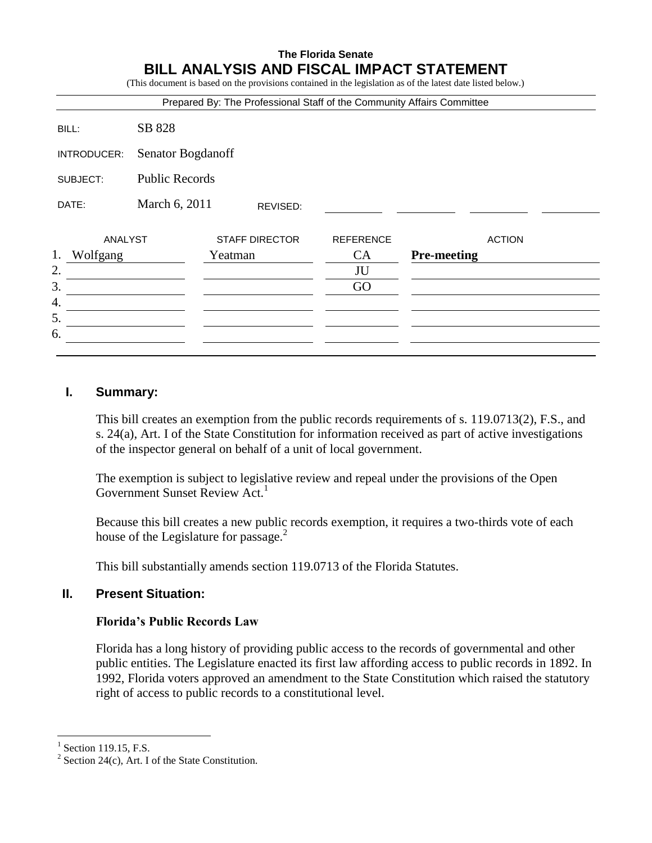# **The Florida Senate BILL ANALYSIS AND FISCAL IMPACT STATEMENT**

(This document is based on the provisions contained in the legislation as of the latest date listed below.)

|             |          |                       |         |                       |                  | Prepared By: The Professional Staff of the Community Affairs Committee |
|-------------|----------|-----------------------|---------|-----------------------|------------------|------------------------------------------------------------------------|
|             | BILL:    | SB 828                |         |                       |                  |                                                                        |
| INTRODUCER: |          | Senator Bogdanoff     |         |                       |                  |                                                                        |
| SUBJECT:    |          | <b>Public Records</b> |         |                       |                  |                                                                        |
|             | DATE:    | March 6, 2011         |         | REVISED:              |                  |                                                                        |
|             | ANALYST  |                       |         | <b>STAFF DIRECTOR</b> | <b>REFERENCE</b> | <b>ACTION</b>                                                          |
| 1.          | Wolfgang |                       | Yeatman |                       | <b>CA</b>        | <b>Pre-meeting</b>                                                     |
| 2.          |          |                       |         |                       | JU               |                                                                        |
| 3.          |          |                       |         |                       | GO               |                                                                        |
| 4.          |          |                       |         |                       |                  |                                                                        |
| 5.          |          |                       |         |                       |                  |                                                                        |
| 6.          |          |                       |         |                       |                  |                                                                        |

### **I. Summary:**

This bill creates an exemption from the public records requirements of s. 119.0713(2), F.S., and s. 24(a), Art. I of the State Constitution for information received as part of active investigations of the inspector general on behalf of a unit of local government.

The exemption is subject to legislative review and repeal under the provisions of the Open Government Sunset Review Act.<sup>1</sup>

Because this bill creates a new public records exemption, it requires a two-thirds vote of each house of the Legislature for passage. $<sup>2</sup>$ </sup>

This bill substantially amends section 119.0713 of the Florida Statutes.

# **II. Present Situation:**

#### **Florida's Public Records Law**

Florida has a long history of providing public access to the records of governmental and other public entities. The Legislature enacted its first law affording access to public records in 1892. In 1992, Florida voters approved an amendment to the State Constitution which raised the statutory right of access to public records to a constitutional level.

<sup>1</sup> Section 119.15, F.S.

<sup>&</sup>lt;sup>2</sup> Section 24(c), Art. I of the State Constitution.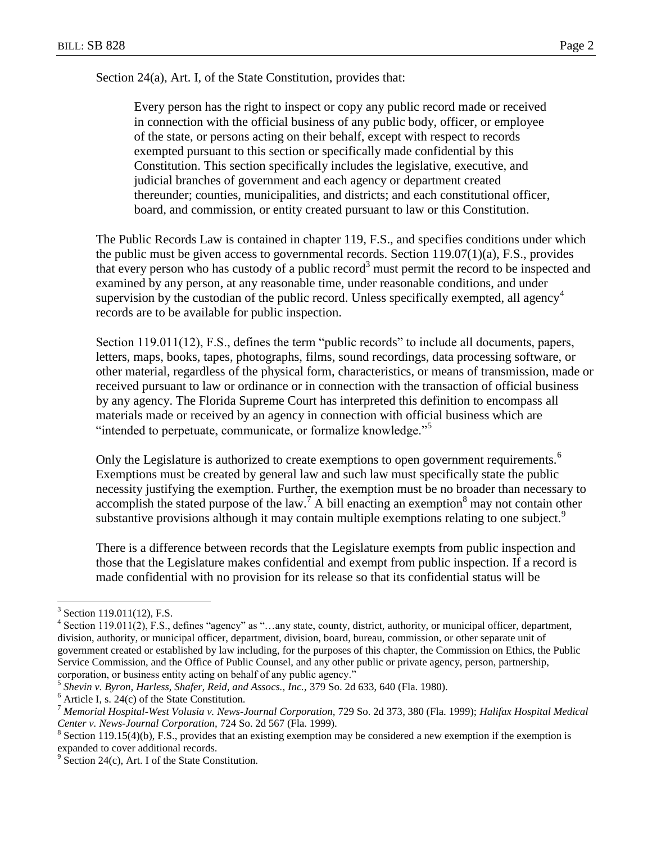Section 24(a), Art. I, of the State Constitution, provides that:

Every person has the right to inspect or copy any public record made or received in connection with the official business of any public body, officer, or employee of the state, or persons acting on their behalf, except with respect to records exempted pursuant to this section or specifically made confidential by this Constitution. This section specifically includes the legislative, executive, and judicial branches of government and each agency or department created thereunder; counties, municipalities, and districts; and each constitutional officer, board, and commission, or entity created pursuant to law or this Constitution.

The Public Records Law is contained in chapter 119, F.S., and specifies conditions under which the public must be given access to governmental records. Section 119.07(1)(a), F.S., provides that every person who has custody of a public record<sup>3</sup> must permit the record to be inspected and examined by any person, at any reasonable time, under reasonable conditions, and under supervision by the custodian of the public record. Unless specifically exempted, all agency<sup>4</sup> records are to be available for public inspection.

Section 119.011(12), F.S., defines the term "public records" to include all documents, papers, letters, maps, books, tapes, photographs, films, sound recordings, data processing software, or other material, regardless of the physical form, characteristics, or means of transmission, made or received pursuant to law or ordinance or in connection with the transaction of official business by any agency. The Florida Supreme Court has interpreted this definition to encompass all materials made or received by an agency in connection with official business which are "intended to perpetuate, communicate, or formalize knowledge."<sup>5</sup>

Only the Legislature is authorized to create exemptions to open government requirements.<sup>6</sup> Exemptions must be created by general law and such law must specifically state the public necessity justifying the exemption. Further, the exemption must be no broader than necessary to accomplish the stated purpose of the law.<sup>7</sup> A bill enacting an exemption<sup>8</sup> may not contain other substantive provisions although it may contain multiple exemptions relating to one subject.<sup>9</sup>

There is a difference between records that the Legislature exempts from public inspection and those that the Legislature makes confidential and exempt from public inspection. If a record is made confidential with no provision for its release so that its confidential status will be

<sup>&</sup>lt;sup>3</sup> Section 119.011(12), F.S.

<sup>&</sup>lt;sup>4</sup> Section 119.011(2), F.S., defines "agency" as "...any state, county, district, authority, or municipal officer, department, division, authority, or municipal officer, department, division, board, bureau, commission, or other separate unit of government created or established by law including, for the purposes of this chapter, the Commission on Ethics, the Public Service Commission, and the Office of Public Counsel, and any other public or private agency, person, partnership, corporation, or business entity acting on behalf of any public agency."

<sup>5</sup> *Shevin v. Byron, Harless, Shafer, Reid, and Assocs., Inc.,* 379 So. 2d 633, 640 (Fla. 1980).

 $6$  Article I, s. 24(c) of the State Constitution.

<sup>7</sup> *Memorial Hospital-West Volusia v. News-Journal Corporation,* 729 So. 2d 373, 380 (Fla. 1999); *Halifax Hospital Medical Center v. News-Journal Corporation,* 724 So. 2d 567 (Fla. 1999).

 $8$  Section 119.15(4)(b), F.S., provides that an existing exemption may be considered a new exemption if the exemption is expanded to cover additional records.

 $9^9$  Section 24(c), Art. I of the State Constitution.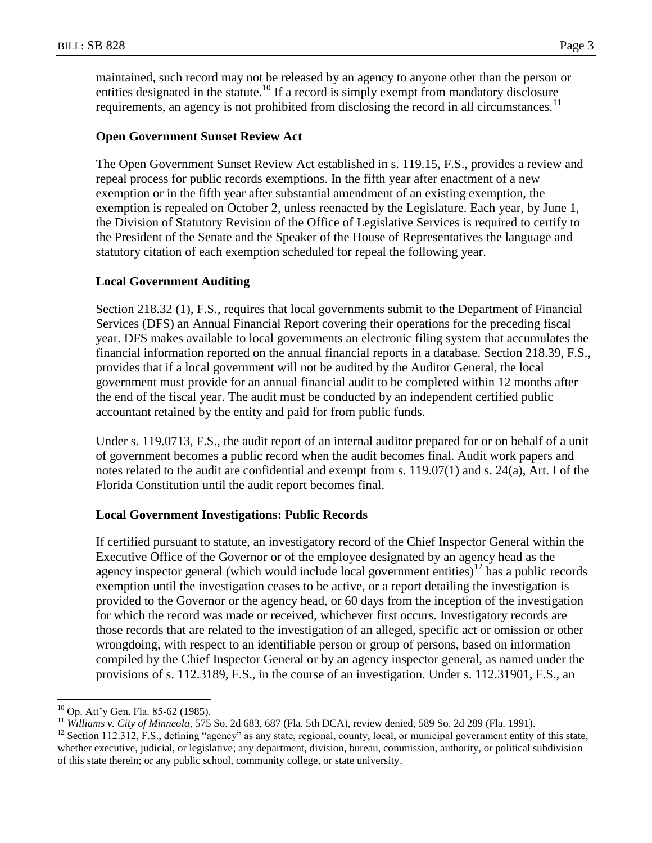maintained, such record may not be released by an agency to anyone other than the person or entities designated in the statute.<sup>10</sup> If a record is simply exempt from mandatory disclosure requirements, an agency is not prohibited from disclosing the record in all circumstances.<sup>11</sup>

### **Open Government Sunset Review Act**

The Open Government Sunset Review Act established in s. 119.15, F.S., provides a review and repeal process for public records exemptions. In the fifth year after enactment of a new exemption or in the fifth year after substantial amendment of an existing exemption, the exemption is repealed on October 2, unless reenacted by the Legislature. Each year, by June 1, the Division of Statutory Revision of the Office of Legislative Services is required to certify to the President of the Senate and the Speaker of the House of Representatives the language and statutory citation of each exemption scheduled for repeal the following year.

#### **Local Government Auditing**

Section 218.32 (1), F.S., requires that local governments submit to the Department of Financial Services (DFS) an Annual Financial Report covering their operations for the preceding fiscal year. DFS makes available to local governments an electronic filing system that accumulates the financial information reported on the annual financial reports in a database. Section 218.39, F.S., provides that if a local government will not be audited by the Auditor General, the local government must provide for an annual financial audit to be completed within 12 months after the end of the fiscal year. The audit must be conducted by an independent certified public accountant retained by the entity and paid for from public funds.

Under s. 119.0713, F.S., the audit report of an internal auditor prepared for or on behalf of a unit of government becomes a public record when the audit becomes final. Audit work papers and notes related to the audit are confidential and exempt from s. 119.07(1) and s. 24(a), Art. I of the Florida Constitution until the audit report becomes final.

#### **Local Government Investigations: Public Records**

If certified pursuant to statute, an investigatory record of the Chief Inspector General within the Executive Office of the Governor or of the employee designated by an agency head as the agency inspector general (which would include local government entities) $12$  has a public records exemption until the investigation ceases to be active, or a report detailing the investigation is provided to the Governor or the agency head, or 60 days from the inception of the investigation for which the record was made or received, whichever first occurs. Investigatory records are those records that are related to the investigation of an alleged, specific act or omission or other wrongdoing, with respect to an identifiable person or group of persons, based on information compiled by the Chief Inspector General or by an agency inspector general, as named under the provisions of s. 112.3189, F.S., in the course of an investigation. Under s. 112.31901, F.S., an

 $10$  Op. Att'y Gen. Fla. 85-62 (1985).

<sup>11</sup> *Williams v. City of Minneola,* 575 So. 2d 683, 687 (Fla. 5th DCA), review denied, 589 So. 2d 289 (Fla. 1991).

 $12$  Section 112.312, F.S., defining "agency" as any state, regional, county, local, or municipal government entity of this state, whether executive, judicial, or legislative; any department, division, bureau, commission, authority, or political subdivision of this state therein; or any public school, community college, or state university.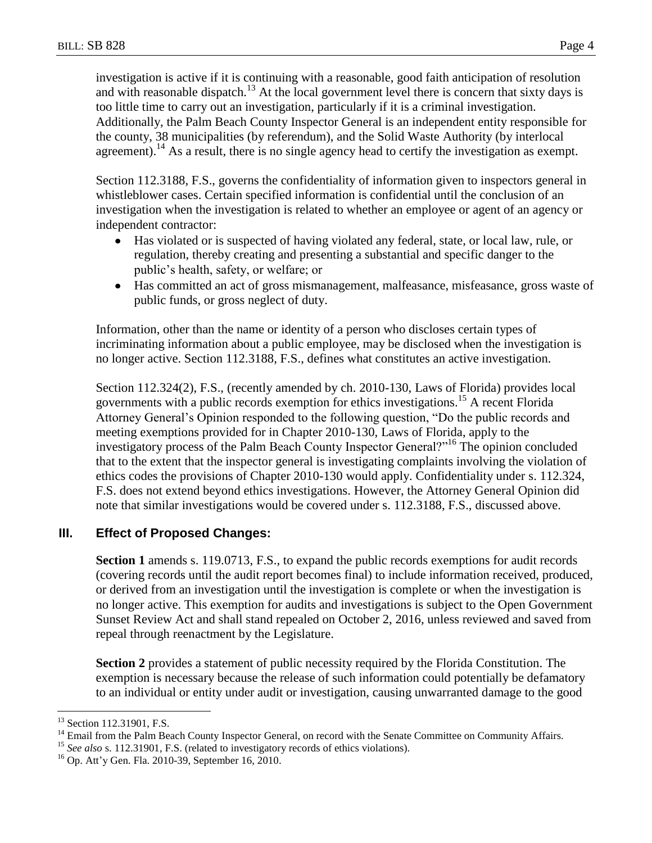investigation is active if it is continuing with a reasonable, good faith anticipation of resolution and with reasonable dispatch.<sup>13</sup> At the local government level there is concern that sixty days is too little time to carry out an investigation, particularly if it is a criminal investigation. Additionally, the Palm Beach County Inspector General is an independent entity responsible for the county, 38 municipalities (by referendum), and the Solid Waste Authority (by interlocal agreement).<sup>14</sup> As a result, there is no single agency head to certify the investigation as exempt.

Section 112.3188, F.S., governs the confidentiality of information given to inspectors general in whistleblower cases. Certain specified information is confidential until the conclusion of an investigation when the investigation is related to whether an employee or agent of an agency or independent contractor:

- $\bullet$ Has violated or is suspected of having violated any federal, state, or local law, rule, or regulation, thereby creating and presenting a substantial and specific danger to the public's health, safety, or welfare; or
- Has committed an act of gross mismanagement, malfeasance, misfeasance, gross waste of public funds, or gross neglect of duty.

Information, other than the name or identity of a person who discloses certain types of incriminating information about a public employee, may be disclosed when the investigation is no longer active. Section 112.3188, F.S., defines what constitutes an active investigation.

Section 112.324(2), F.S., (recently amended by ch. 2010-130, Laws of Florida) provides local governments with a public records exemption for ethics investigations.<sup>15</sup> A recent Florida Attorney General's Opinion responded to the following question, "Do the public records and meeting exemptions provided for in Chapter 2010-130, Laws of Florida, apply to the investigatory process of the Palm Beach County Inspector General?"<sup>16</sup> The opinion concluded that to the extent that the inspector general is investigating complaints involving the violation of ethics codes the provisions of Chapter 2010-130 would apply. Confidentiality under s. 112.324, F.S. does not extend beyond ethics investigations. However, the Attorney General Opinion did note that similar investigations would be covered under s. 112.3188, F.S., discussed above.

# **III. Effect of Proposed Changes:**

**Section 1** amends s. 119.0713, F.S., to expand the public records exemptions for audit records (covering records until the audit report becomes final) to include information received, produced, or derived from an investigation until the investigation is complete or when the investigation is no longer active. This exemption for audits and investigations is subject to the Open Government Sunset Review Act and shall stand repealed on October 2, 2016, unless reviewed and saved from repeal through reenactment by the Legislature.

**Section 2** provides a statement of public necessity required by the Florida Constitution. The exemption is necessary because the release of such information could potentially be defamatory to an individual or entity under audit or investigation, causing unwarranted damage to the good

<sup>&</sup>lt;sup>13</sup> Section 112.31901, F.S.

<sup>&</sup>lt;sup>14</sup> Email from the Palm Beach County Inspector General, on record with the Senate Committee on Community Affairs.

<sup>&</sup>lt;sup>15</sup> See also s. 112.31901, F.S. (related to investigatory records of ethics violations).

 $16$  Op. Att'y Gen. Fla. 2010-39, September 16, 2010.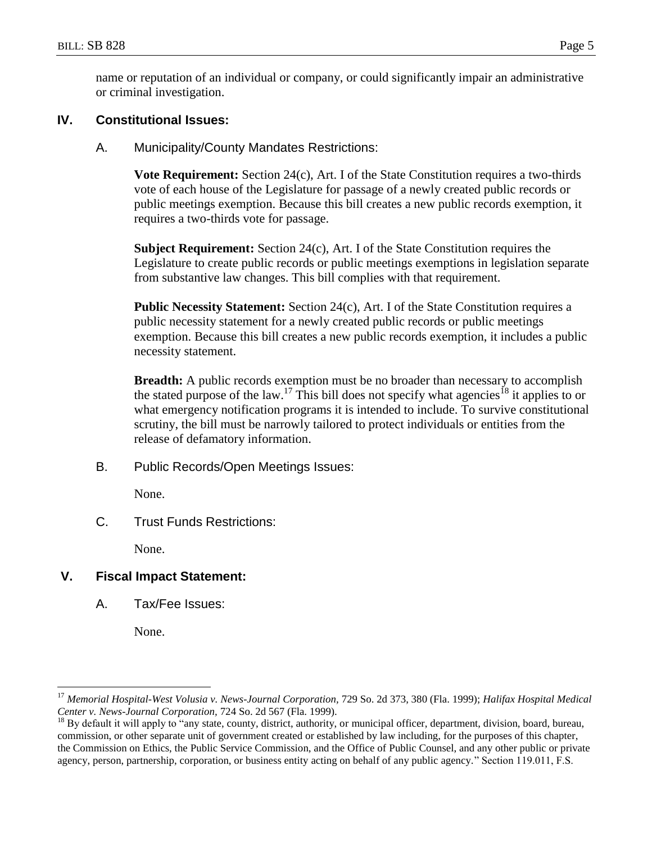name or reputation of an individual or company, or could significantly impair an administrative or criminal investigation.

## **IV. Constitutional Issues:**

A. Municipality/County Mandates Restrictions:

**Vote Requirement:** Section 24(c), Art. I of the State Constitution requires a two-thirds vote of each house of the Legislature for passage of a newly created public records or public meetings exemption. Because this bill creates a new public records exemption, it requires a two-thirds vote for passage.

**Subject Requirement:** Section 24(c), Art. I of the State Constitution requires the Legislature to create public records or public meetings exemptions in legislation separate from substantive law changes. This bill complies with that requirement.

**Public Necessity Statement:** Section 24(c), Art. I of the State Constitution requires a public necessity statement for a newly created public records or public meetings exemption. Because this bill creates a new public records exemption, it includes a public necessity statement.

**Breadth:** A public records exemption must be no broader than necessary to accomplish the stated purpose of the law.<sup>17</sup> This bill does not specify what agencies<sup>18</sup> it applies to or what emergency notification programs it is intended to include. To survive constitutional scrutiny, the bill must be narrowly tailored to protect individuals or entities from the release of defamatory information.

B. Public Records/Open Meetings Issues:

None.

C. Trust Funds Restrictions:

None.

# **V. Fiscal Impact Statement:**

A. Tax/Fee Issues:

None.

<sup>17</sup> *Memorial Hospital-West Volusia v. News-Journal Corporation,* 729 So. 2d 373, 380 (Fla. 1999); *Halifax Hospital Medical Center v. News-Journal Corporation,* 724 So. 2d 567 (Fla. 1999).

 $^{18}$  By default it will apply to "any state, county, district, authority, or municipal officer, department, division, board, bureau, commission, or other separate unit of government created or established by law including, for the purposes of this chapter, the Commission on Ethics, the Public Service Commission, and the Office of Public Counsel, and any other public or private agency, person, partnership, corporation, or business entity acting on behalf of any public agency." Section 119.011, F.S.